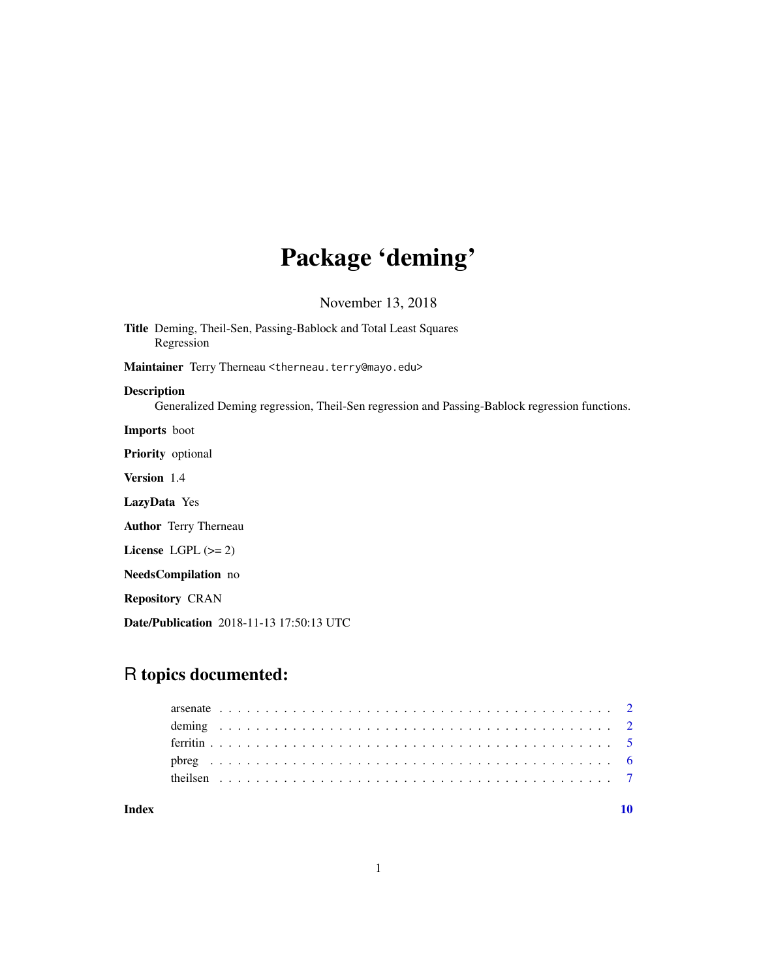## Package 'deming'

November 13, 2018

Title Deming, Theil-Sen, Passing-Bablock and Total Least Squares Regression Maintainer Terry Therneau <therneau.terry@mayo.edu> Description Generalized Deming regression, Theil-Sen regression and Passing-Bablock regression functions. Imports boot Priority optional Version 1.4 LazyData Yes Author Terry Therneau License  $LGPL$  ( $>= 2$ ) NeedsCompilation no Repository CRAN Date/Publication 2018-11-13 17:50:13 UTC

### R topics documented:

#### $\blacksquare$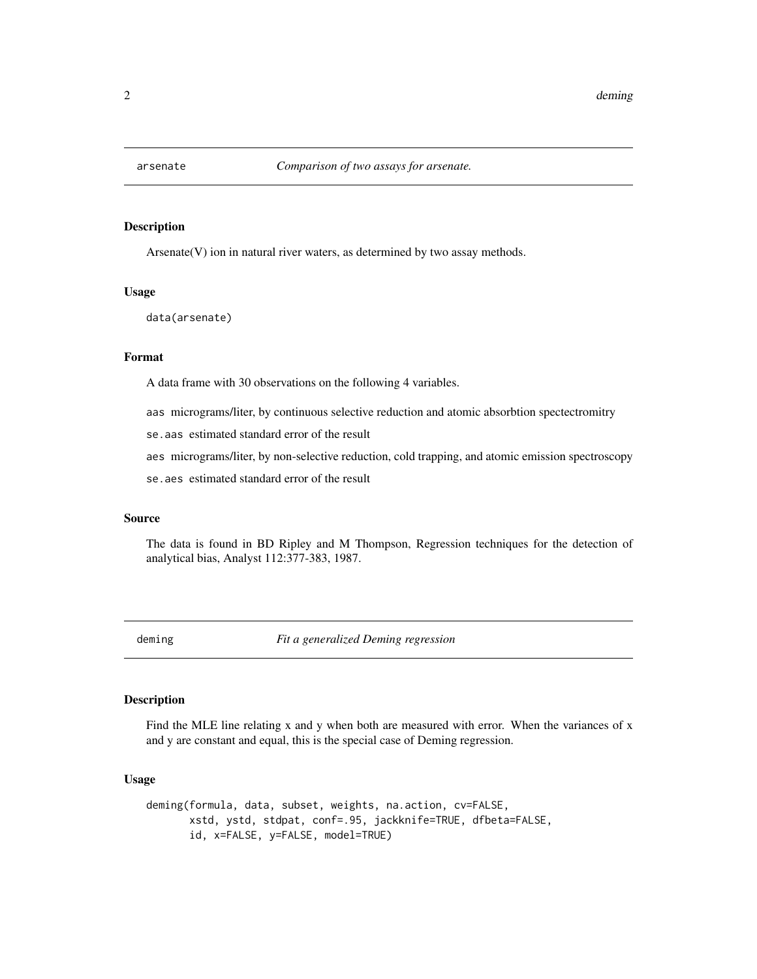<span id="page-1-0"></span>

#### Description

Arsenate(V) ion in natural river waters, as determined by two assay methods.

#### Usage

data(arsenate)

#### Format

A data frame with 30 observations on the following 4 variables.

aas micrograms/liter, by continuous selective reduction and atomic absorbtion spectectromitry

se.aas estimated standard error of the result

aes micrograms/liter, by non-selective reduction, cold trapping, and atomic emission spectroscopy

se.aes estimated standard error of the result

#### Source

The data is found in BD Ripley and M Thompson, Regression techniques for the detection of analytical bias, Analyst 112:377-383, 1987.

<span id="page-1-1"></span>deming *Fit a generalized Deming regression*

### **Description**

Find the MLE line relating x and y when both are measured with error. When the variances of x and y are constant and equal, this is the special case of Deming regression.

#### Usage

```
deming(formula, data, subset, weights, na.action, cv=FALSE,
      xstd, ystd, stdpat, conf=.95, jackknife=TRUE, dfbeta=FALSE,
      id, x=FALSE, y=FALSE, model=TRUE)
```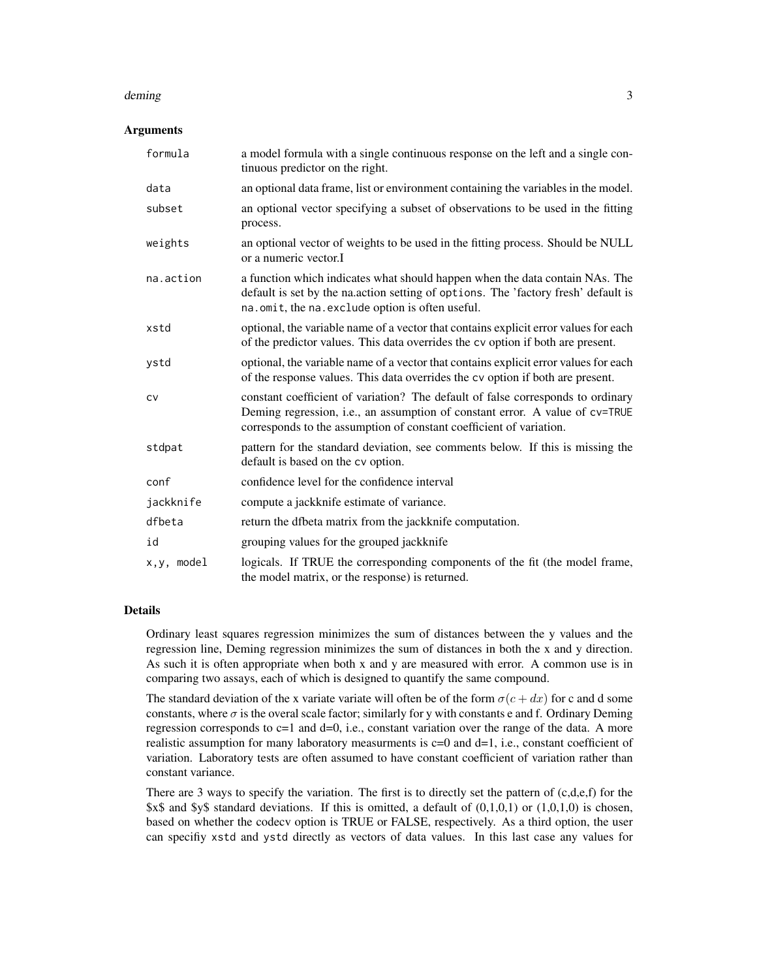#### deming 3

#### **Arguments**

| formula     | a model formula with a single continuous response on the left and a single con-<br>tinuous predictor on the right.                                                                                                                     |
|-------------|----------------------------------------------------------------------------------------------------------------------------------------------------------------------------------------------------------------------------------------|
| data        | an optional data frame, list or environment containing the variables in the model.                                                                                                                                                     |
| subset      | an optional vector specifying a subset of observations to be used in the fitting<br>process.                                                                                                                                           |
| weights     | an optional vector of weights to be used in the fitting process. Should be NULL<br>or a numeric vector.I                                                                                                                               |
| na.action   | a function which indicates what should happen when the data contain NAs. The<br>default is set by the na.action setting of options. The 'factory fresh' default is<br>na.omit, the na.exclude option is often useful.                  |
| xstd        | optional, the variable name of a vector that contains explicit error values for each<br>of the predictor values. This data overrides the cv option if both are present.                                                                |
| ystd        | optional, the variable name of a vector that contains explicit error values for each<br>of the response values. This data overrides the cv option if both are present.                                                                 |
| <b>CV</b>   | constant coefficient of variation? The default of false corresponds to ordinary<br>Deming regression, i.e., an assumption of constant error. A value of cv=TRUE<br>corresponds to the assumption of constant coefficient of variation. |
| stdpat      | pattern for the standard deviation, see comments below. If this is missing the<br>default is based on the cv option.                                                                                                                   |
| conf        | confidence level for the confidence interval                                                                                                                                                                                           |
| jackknife   | compute a jackknife estimate of variance.                                                                                                                                                                                              |
| dfbeta      | return the dfbeta matrix from the jackknife computation.                                                                                                                                                                               |
| id          | grouping values for the grouped jackknife                                                                                                                                                                                              |
| x, y, model | logicals. If TRUE the corresponding components of the fit (the model frame,<br>the model matrix, or the response) is returned.                                                                                                         |

#### Details

Ordinary least squares regression minimizes the sum of distances between the y values and the regression line, Deming regression minimizes the sum of distances in both the x and y direction. As such it is often appropriate when both x and y are measured with error. A common use is in comparing two assays, each of which is designed to quantify the same compound.

The standard deviation of the x variate variate will often be of the form  $\sigma(c + dx)$  for c and d some constants, where  $\sigma$  is the overal scale factor; similarly for y with constants e and f. Ordinary Deming regression corresponds to  $c=1$  and  $d=0$ , i.e., constant variation over the range of the data. A more realistic assumption for many laboratory measurments is  $c=0$  and  $d=1$ , i.e., constant coefficient of variation. Laboratory tests are often assumed to have constant coefficient of variation rather than constant variance.

There are 3 ways to specify the variation. The first is to directly set the pattern of  $(c,d,e,f)$  for the  $x\$ and  $y\$  standard deviations. If this is omitted, a default of  $(0,1,0,1)$  or  $(1,0,1,0)$  is chosen, based on whether the codecv option is TRUE or FALSE, respectively. As a third option, the user can specifiy xstd and ystd directly as vectors of data values. In this last case any values for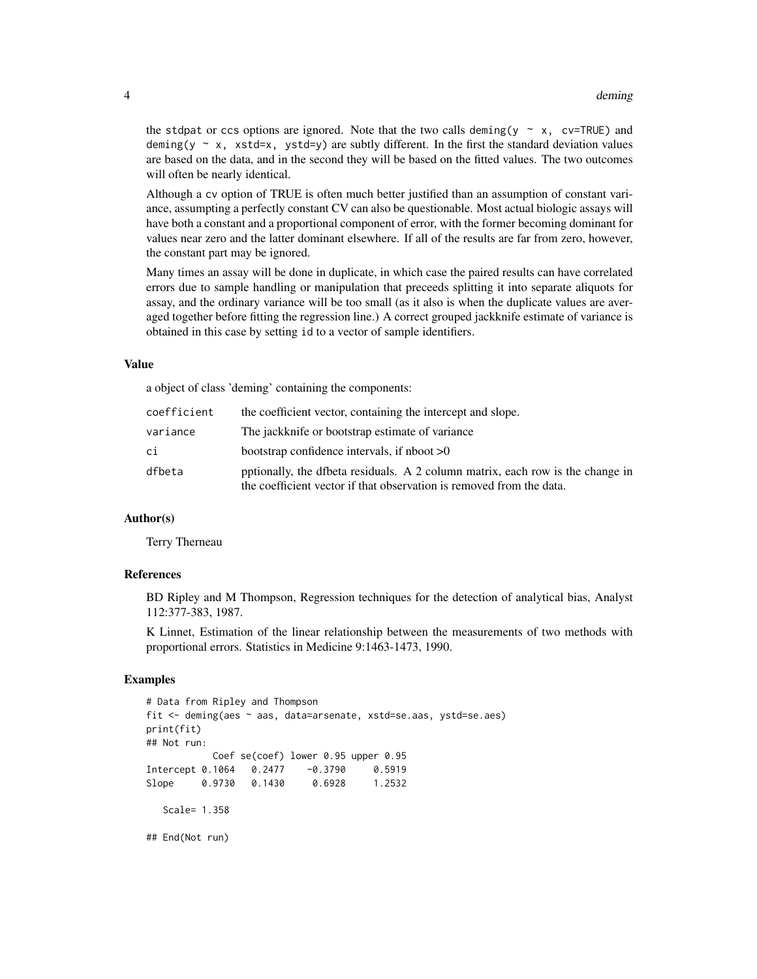the stdpat or ccs options are ignored. Note that the two calls deming(y  $\sim x$ , cv=TRUE) and deming(y  $\sim$  x, xstd=x, ystd=y) are subtly different. In the first the standard deviation values are based on the data, and in the second they will be based on the fitted values. The two outcomes will often be nearly identical.

Although a cv option of TRUE is often much better justified than an assumption of constant variance, assumpting a perfectly constant CV can also be questionable. Most actual biologic assays will have both a constant and a proportional component of error, with the former becoming dominant for values near zero and the latter dominant elsewhere. If all of the results are far from zero, however, the constant part may be ignored.

Many times an assay will be done in duplicate, in which case the paired results can have correlated errors due to sample handling or manipulation that preceeds splitting it into separate aliquots for assay, and the ordinary variance will be too small (as it also is when the duplicate values are averaged together before fitting the regression line.) A correct grouped jackknife estimate of variance is obtained in this case by setting id to a vector of sample identifiers.

#### Value

a object of class 'deming' containing the components:

| coefficient | the coefficient vector, containing the intercept and slope.                                                                                            |
|-------------|--------------------------------------------------------------------------------------------------------------------------------------------------------|
| variance    | The jackknife or bootstrap estimate of variance                                                                                                        |
| сi          | bootstrap confidence intervals, if nboot $>0$                                                                                                          |
| dfbeta      | potionally, the dfbeta residuals. A 2 column matrix, each row is the change in<br>the coefficient vector if that observation is removed from the data. |

#### Author(s)

Terry Therneau

#### References

BD Ripley and M Thompson, Regression techniques for the detection of analytical bias, Analyst 112:377-383, 1987.

K Linnet, Estimation of the linear relationship between the measurements of two methods with proportional errors. Statistics in Medicine 9:1463-1473, 1990.

#### Examples

```
# Data from Ripley and Thompson
fit <- deming(aes ~ aas, data=arsenate, xstd=se.aas, ystd=se.aes)
print(fit)
## Not run:
           Coef se(coef) lower 0.95 upper 0.95
Intercept 0.1064 0.2477 -0.3790 0.5919
Slope 0.9730 0.1430 0.6928 1.2532
  Scale= 1.358
## End(Not run)
```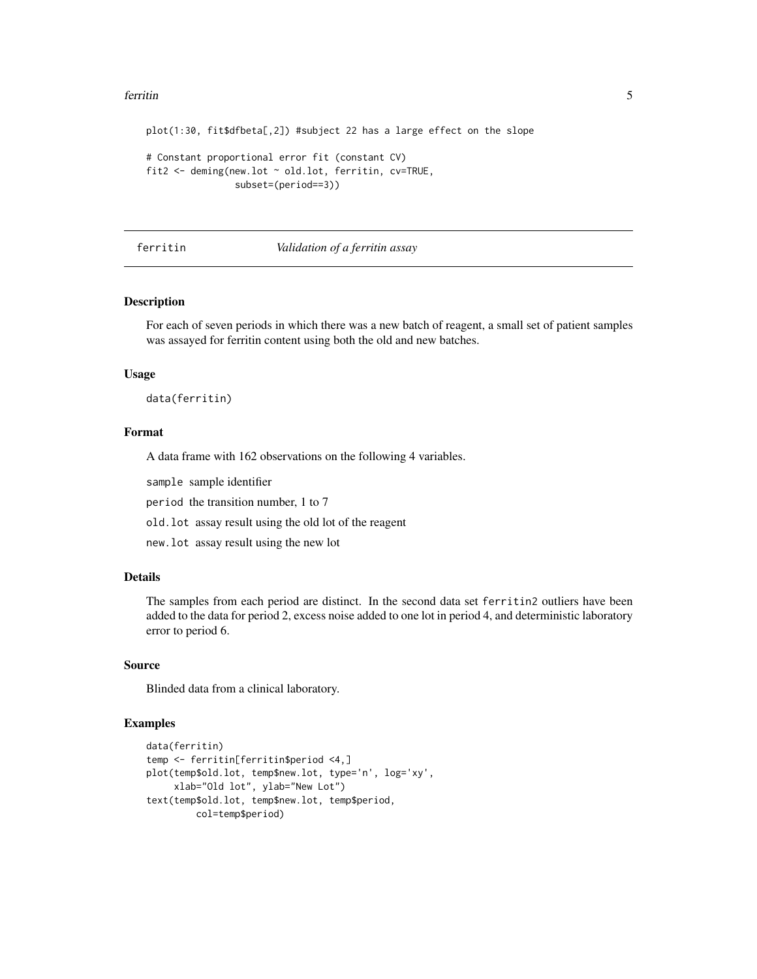#### <span id="page-4-0"></span>ferritin 500 to 100 million to 100 million to 100 million to 100 million to 100 million to 100 million to 100 million to 100 million to 100 million to 100 million to 100 million to 100 million to 100 million to 100 million

```
plot(1:30, fit$dfbeta[,2]) #subject 22 has a large effect on the slope
# Constant proportional error fit (constant CV)
fit2 <- deming(new.lot ~ old.lot, ferritin, cv=TRUE,
               subset=(period==3))
```
#### ferritin *Validation of a ferritin assay*

#### Description

For each of seven periods in which there was a new batch of reagent, a small set of patient samples was assayed for ferritin content using both the old and new batches.

#### Usage

data(ferritin)

#### Format

A data frame with 162 observations on the following 4 variables.

sample sample identifier

period the transition number, 1 to 7

old.lot assay result using the old lot of the reagent

new.lot assay result using the new lot

### Details

The samples from each period are distinct. In the second data set ferritin2 outliers have been added to the data for period 2, excess noise added to one lot in period 4, and deterministic laboratory error to period 6.

#### Source

Blinded data from a clinical laboratory.

#### Examples

```
data(ferritin)
temp <- ferritin[ferritin$period <4,]
plot(temp$old.lot, temp$new.lot, type='n', log='xy',
     xlab="Old lot", ylab="New Lot")
text(temp$old.lot, temp$new.lot, temp$period,
        col=temp$period)
```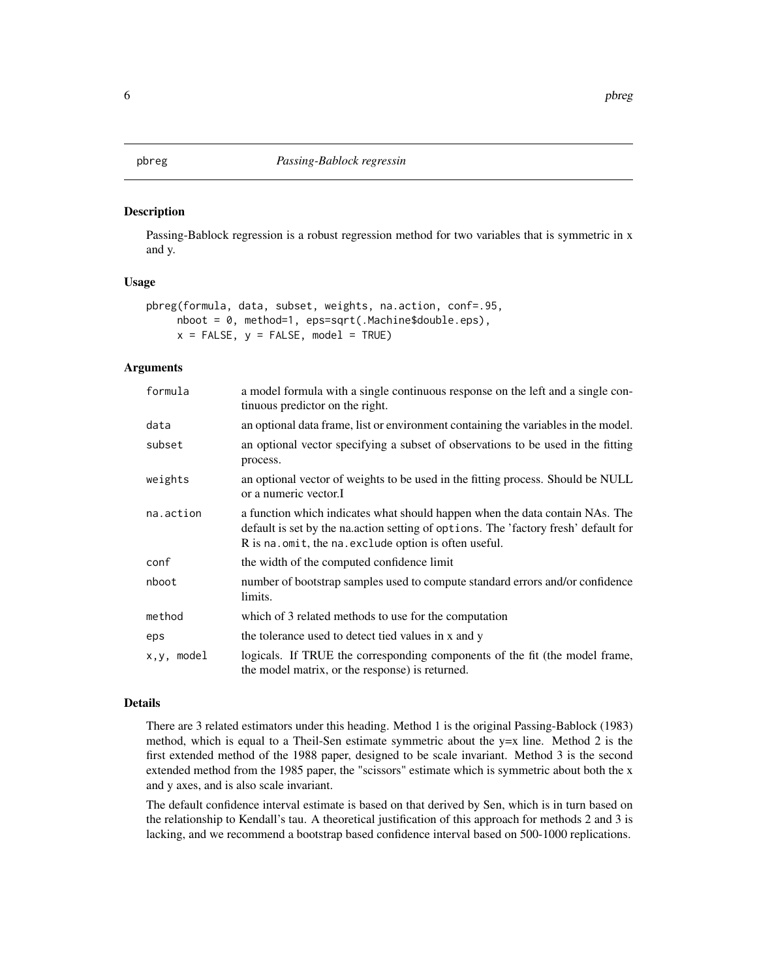#### <span id="page-5-1"></span><span id="page-5-0"></span>Description

Passing-Bablock regression is a robust regression method for two variables that is symmetric in x and y.

#### Usage

```
pbreg(formula, data, subset, weights, na.action, conf=.95,
     nboot = 0, method=1, eps=sqrt(.Machine$double.eps),
     x = FALSE, y = FALSE, model = TRUE)
```
#### Arguments

| formula    | a model formula with a single continuous response on the left and a single con-<br>tinuous predictor on the right.                                                                                                         |
|------------|----------------------------------------------------------------------------------------------------------------------------------------------------------------------------------------------------------------------------|
| data       | an optional data frame, list or environment containing the variables in the model.                                                                                                                                         |
| subset     | an optional vector specifying a subset of observations to be used in the fitting<br>process.                                                                                                                               |
| weights    | an optional vector of weights to be used in the fitting process. Should be NULL<br>or a numeric vector.I                                                                                                                   |
| na.action  | a function which indicates what should happen when the data contain NAs. The<br>default is set by the nation setting of options. The 'factory fresh' default for<br>R is na. omit, the na. exclude option is often useful. |
| conf       | the width of the computed confidence limit                                                                                                                                                                                 |
| nboot      | number of bootstrap samples used to compute standard errors and/or confidence<br>limits.                                                                                                                                   |
| method     | which of 3 related methods to use for the computation                                                                                                                                                                      |
| eps        | the tolerance used to detect tied values in x and y                                                                                                                                                                        |
| x,y, model | logicals. If TRUE the corresponding components of the fit (the model frame,<br>the model matrix, or the response) is returned.                                                                                             |

#### Details

There are 3 related estimators under this heading. Method 1 is the original Passing-Bablock (1983) method, which is equal to a Theil-Sen estimate symmetric about the  $y=x$  line. Method 2 is the first extended method of the 1988 paper, designed to be scale invariant. Method 3 is the second extended method from the 1985 paper, the "scissors" estimate which is symmetric about both the x and y axes, and is also scale invariant.

The default confidence interval estimate is based on that derived by Sen, which is in turn based on the relationship to Kendall's tau. A theoretical justification of this approach for methods 2 and 3 is lacking, and we recommend a bootstrap based confidence interval based on 500-1000 replications.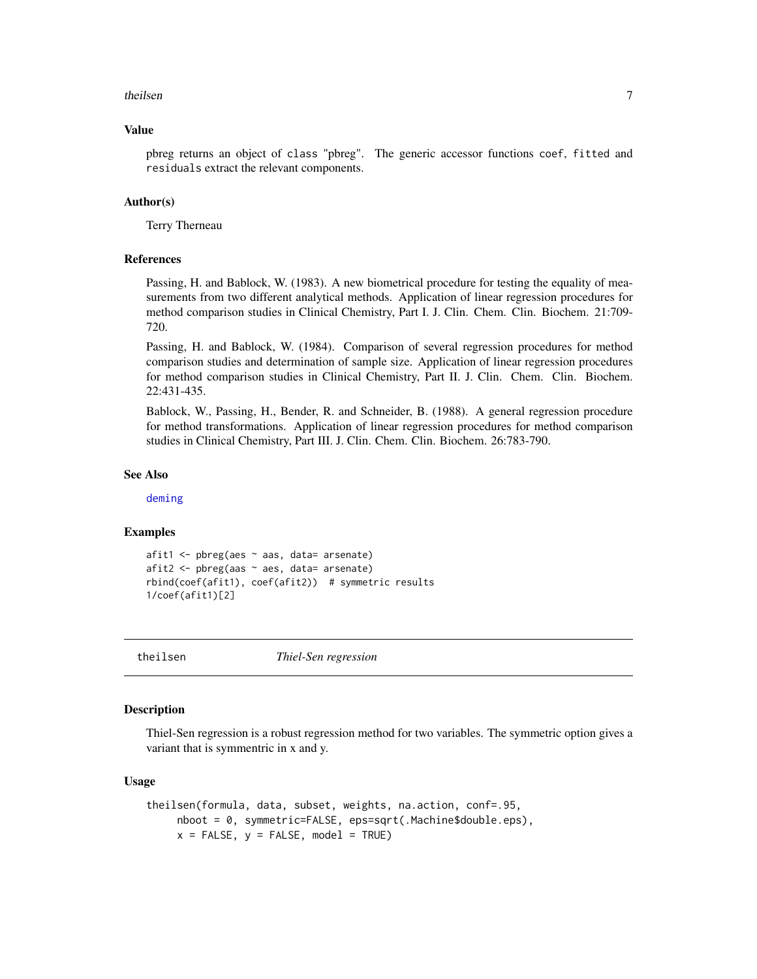#### <span id="page-6-0"></span>theilsen 7

#### Value

pbreg returns an object of class "pbreg". The generic accessor functions coef, fitted and residuals extract the relevant components.

#### Author(s)

Terry Therneau

#### References

Passing, H. and Bablock, W. (1983). A new biometrical procedure for testing the equality of measurements from two different analytical methods. Application of linear regression procedures for method comparison studies in Clinical Chemistry, Part I. J. Clin. Chem. Clin. Biochem. 21:709- 720.

Passing, H. and Bablock, W. (1984). Comparison of several regression procedures for method comparison studies and determination of sample size. Application of linear regression procedures for method comparison studies in Clinical Chemistry, Part II. J. Clin. Chem. Clin. Biochem. 22:431-435.

Bablock, W., Passing, H., Bender, R. and Schneider, B. (1988). A general regression procedure for method transformations. Application of linear regression procedures for method comparison studies in Clinical Chemistry, Part III. J. Clin. Chem. Clin. Biochem. 26:783-790.

#### See Also

[deming](#page-1-1)

#### Examples

```
afit1 <- pbreg(aes ~ aas, data= arsenate)
afit2 <- pbreg(aas ~ aes, data= arsenate)
rbind(coef(afit1), coef(afit2)) # symmetric results
1/coef(afit1)[2]
```
theilsen *Thiel-Sen regression*

#### **Description**

Thiel-Sen regression is a robust regression method for two variables. The symmetric option gives a variant that is symmentric in x and y.

#### Usage

```
theilsen(formula, data, subset, weights, na.action, conf=.95,
    nboot = 0, symmetric=FALSE, eps=sqrt(.Machine$double.eps),
    x = FALSE, y = FALSE, model = TRUE)
```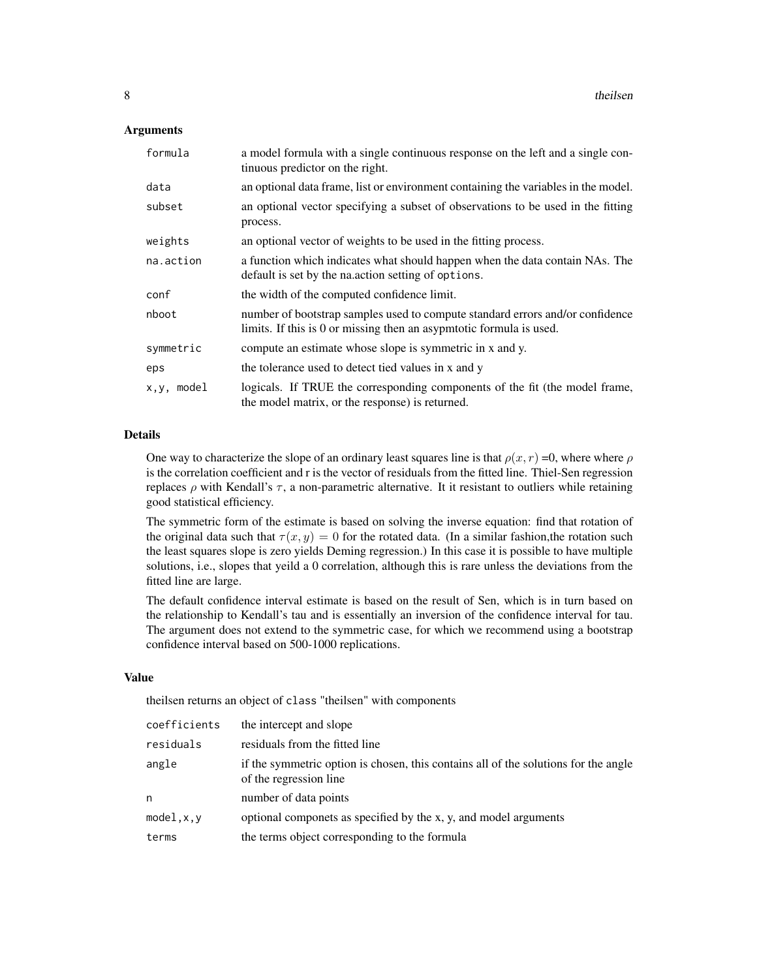#### **Arguments**

| formula    | a model formula with a single continuous response on the left and a single con-<br>tinuous predictor on the right.                                   |
|------------|------------------------------------------------------------------------------------------------------------------------------------------------------|
| data       | an optional data frame, list or environment containing the variables in the model.                                                                   |
| subset     | an optional vector specifying a subset of observations to be used in the fitting<br>process.                                                         |
| weights    | an optional vector of weights to be used in the fitting process.                                                                                     |
| na.action  | a function which indicates what should happen when the data contain NAs. The<br>default is set by the nation setting of options.                     |
| conf       | the width of the computed confidence limit.                                                                                                          |
| nboot      | number of bootstrap samples used to compute standard errors and/or confidence<br>limits. If this is 0 or missing then an asypmtotic formula is used. |
| symmetric  | compute an estimate whose slope is symmetric in x and y.                                                                                             |
| eps        | the tolerance used to detect tied values in x and y                                                                                                  |
| x,y, model | logicals. If TRUE the corresponding components of the fit (the model frame,<br>the model matrix, or the response) is returned.                       |

#### Details

One way to characterize the slope of an ordinary least squares line is that  $\rho(x, r) = 0$ , where where  $\rho$ is the correlation coefficient and r is the vector of residuals from the fitted line. Thiel-Sen regression replaces ρ with Kendall's  $τ$ , a non-parametric alternative. It it resistant to outliers while retaining good statistical efficiency.

The symmetric form of the estimate is based on solving the inverse equation: find that rotation of the original data such that  $\tau(x, y) = 0$  for the rotated data. (In a similar fashion, the rotation such the least squares slope is zero yields Deming regression.) In this case it is possible to have multiple solutions, i.e., slopes that yeild a 0 correlation, although this is rare unless the deviations from the fitted line are large.

The default confidence interval estimate is based on the result of Sen, which is in turn based on the relationship to Kendall's tau and is essentially an inversion of the confidence interval for tau. The argument does not extend to the symmetric case, for which we recommend using a bootstrap confidence interval based on 500-1000 replications.

#### Value

theilsen returns an object of class "theilsen" with components

| coefficients | the intercept and slope                                                                                       |
|--------------|---------------------------------------------------------------------------------------------------------------|
| residuals    | residuals from the fitted line                                                                                |
| angle        | if the symmetric option is chosen, this contains all of the solutions for the angle<br>of the regression line |
| n            | number of data points                                                                                         |
| model, x, y  | optional componets as specified by the x, y, and model arguments                                              |
| terms        | the terms object corresponding to the formula                                                                 |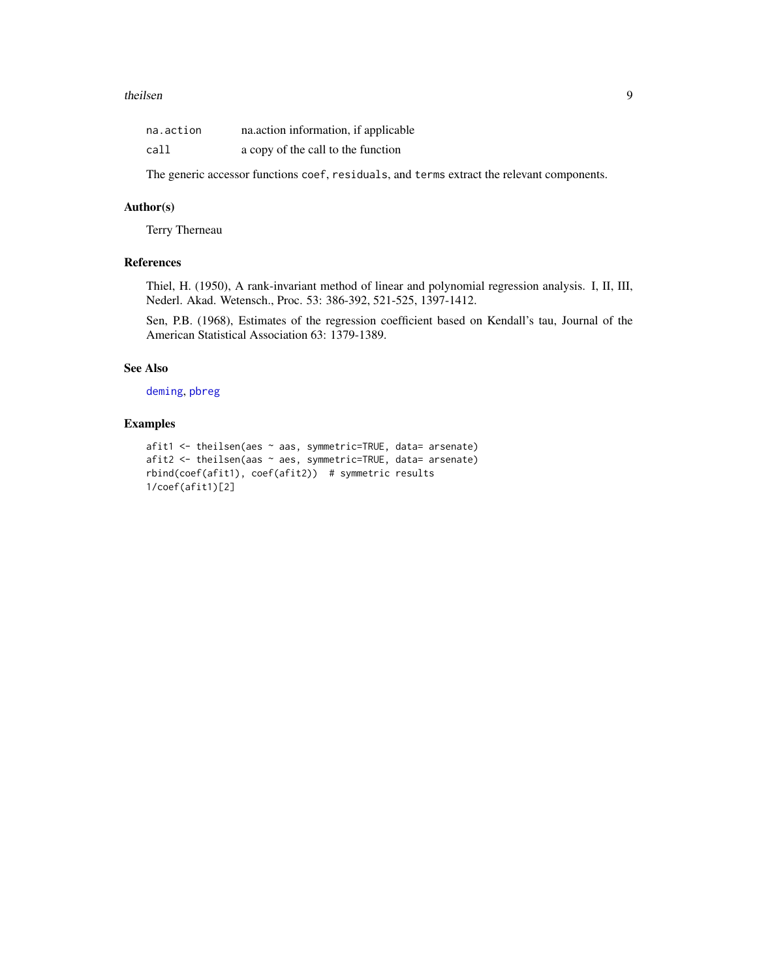#### <span id="page-8-0"></span>theilsen 9

| na.action | na.action information, if applicable |
|-----------|--------------------------------------|
| call      | a copy of the call to the function   |

The generic accessor functions coef, residuals, and terms extract the relevant components.

#### Author(s)

Terry Therneau

#### References

Thiel, H. (1950), A rank-invariant method of linear and polynomial regression analysis. I, II, III, Nederl. Akad. Wetensch., Proc. 53: 386-392, 521-525, 1397-1412.

Sen, P.B. (1968), Estimates of the regression coefficient based on Kendall's tau, Journal of the American Statistical Association 63: 1379-1389.

#### See Also

[deming](#page-1-1), [pbreg](#page-5-1)

#### Examples

```
afit1 <- theilsen(aes ~ aas, symmetric=TRUE, data= arsenate)
afit2 <- theilsen(aas ~ aes, symmetric=TRUE, data= arsenate)
rbind(coef(afit1), coef(afit2)) # symmetric results
1/coef(afit1)[2]
```